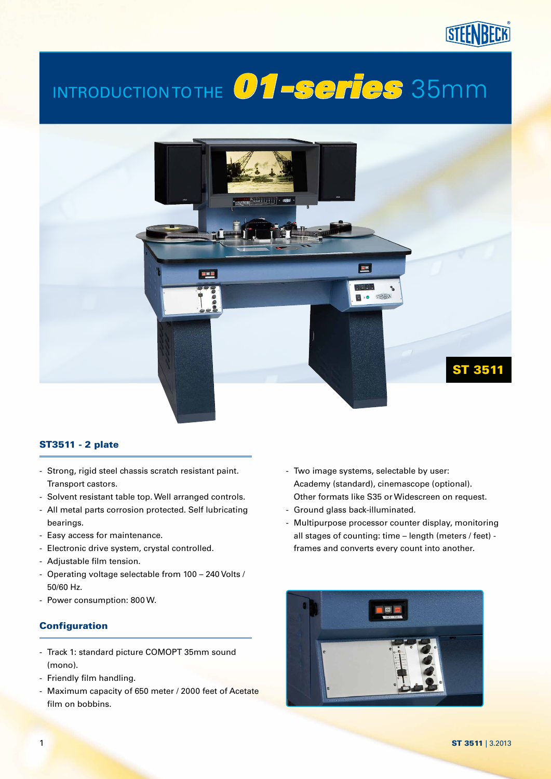# Introduction to the *01-series* 35mm



### ST3511 - 2 plate

- Strong, rigid steel chassis scratch resistant paint. Transport castors.
- Solvent resistant table top. Well arranged controls.
- All metal parts corrosion protected. Self lubricating bearings.
- Easy access for maintenance.
- Electronic drive system, crystal controlled.
- Adjustable film tension.
- Operating voltage selectable from 100 240 Volts / 50/60 Hz.
- Power consumption: 800 W.

### **Configuration**

- Track 1: standard picture COMOPT 35mm sound (mono).
- Friendly film handling.
- Maximum capacity of 650 meter / 2000 feet of Acetate film on bobbins.
- Two image systems, selectable by user: Academy (standard), cinemascope (optional). Other formats like S35 or Widescreen on request.
- Ground glass back-illuminated.
- Multipurpose processor counter display, monitoring all stages of counting: time – length (meters / feet) frames and converts every count into another.

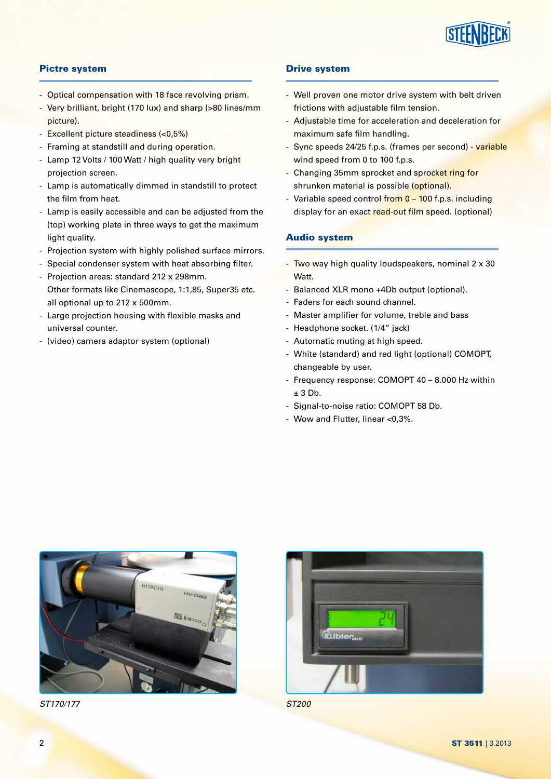

### Pictre system

- Optical compensation with 18 face revolving prism.
- Very brilliant, bright (170 lux) and sharp (>80 lines/mm picture).
- Excellent picture steadiness (<0,5%)
- Framing at standstill and during operation.
- Lamp 12 Volts / 100 Watt / high quality very bright projection screen.
- Lamp is automatically dimmed in standstill to protect the film from heat.
- Lamp is easily accessible and can be adjusted from the (top) working plate in three ways to get the maximum light quality.
- Projection system with highly polished surface mirrors.
- Special condenser system with heat absorbing filter.
- Projection areas: standard 212 x 298mm. Other formats like Cinemascope, 1:1,85, Super35 etc. all optional up to 212 x 500mm.
- Large projection housing with flexible masks and universal counter.
- (video) camera adaptor system (optional)

#### Drive system

- Well proven one motor drive system with belt driven frictions with adjustable film tension.
- Adjustable time for acceleration and deceleration for maximum safe film handling.
- Sync speeds 24/25 f.p.s. (frames per second) variable wind speed from 0 to 100 f.p.s.
- Changing 35mm sprocket and sprocket ring for shrunken material is possible (optional).
- Variable speed control from 0 100 f.p.s. including display for an exact read-out film speed. (optional)

#### Audio system

- Two way high quality loudspeakers, nominal 2 x 30 Watt.
- Balanced XLR mono +4Db output (optional).
- Faders for each sound channel.
- Master amplifier for volume, treble and bass
- Headphone socket. (1/4" jack)
- Automatic muting at high speed.
- White (standard) and red light (optional) COMOPT, changeable by user.
- Frequency response: COMOPT 40 8.000 Hz within  $± 3$  Db.
- Signal-to-noise ratio: COMOPT 58 Db.
- Wow and Flutter, linear <0,3%.



*ST170/177 ST200*